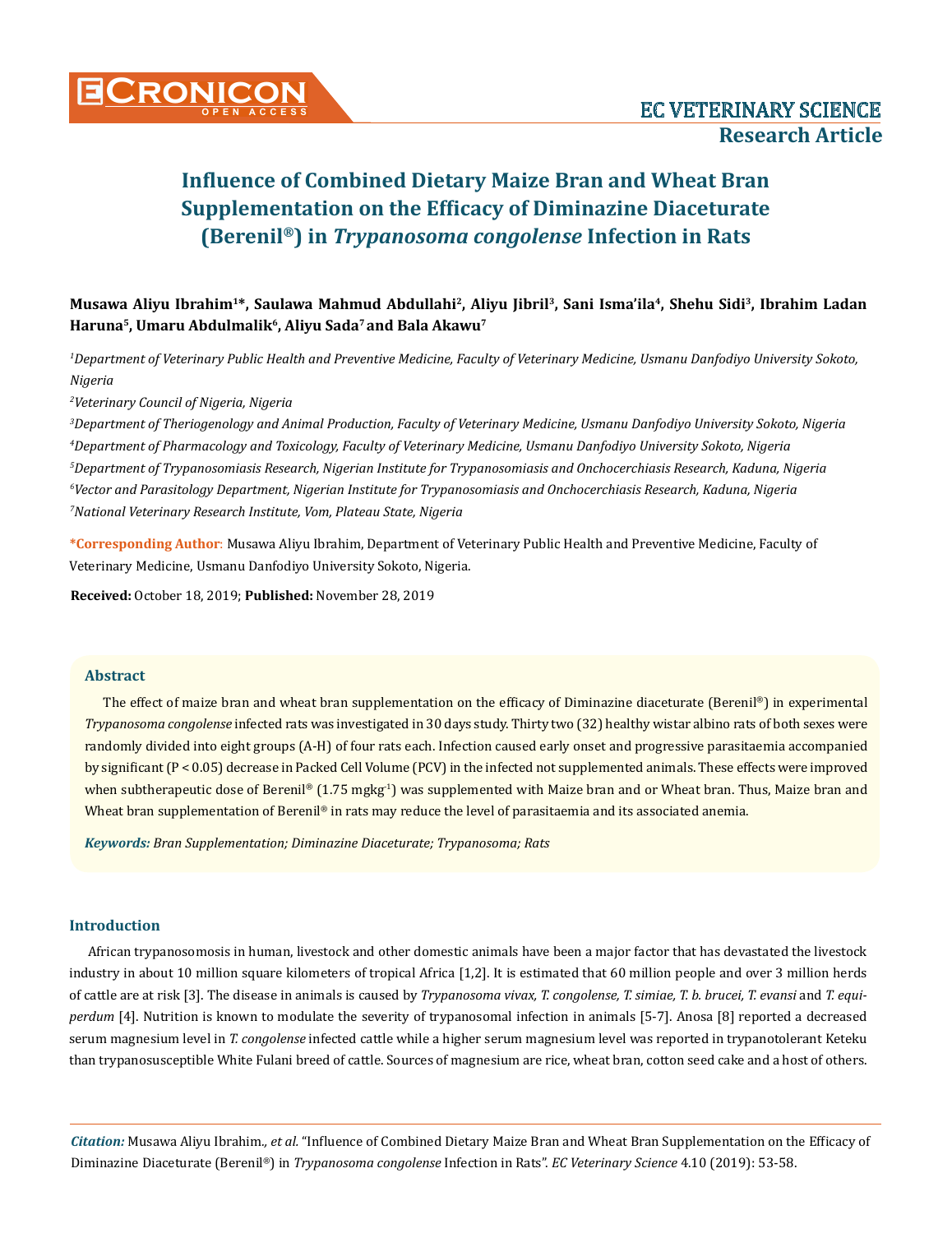**Musawa Aliyu Ibrahim<sup>1</sup>\*, Saulawa Mahmud Abdullahi<sup>2</sup>, Aliyu Jibril<sup>3</sup>, Sani Isma'ila<sup>4</sup>, Shehu Sidi<sup>3</sup>, Ibrahim Ladan Haruna<sup>5</sup>, Umaru Abdulmalik<sup>6</sup>, Aliyu Sada<sup>7</sup>and Bala Akawu<sup>7</sup>**

*1 Department of Veterinary Public Health and Preventive Medicine, Faculty of Veterinary Medicine, Usmanu Danfodiyo University Sokoto, Nigeria*

*2 Veterinary Council of Nigeria, Nigeria*

 *Department of Theriogenology and Animal Production, Faculty of Veterinary Medicine, Usmanu Danfodiyo University Sokoto, Nigeria Department of Pharmacology and Toxicology, Faculty of Veterinary Medicine, Usmanu Danfodiyo University Sokoto, Nigeria Department of Trypanosomiasis Research, Nigerian Institute for Trypanosomiasis and Onchocerchiasis Research, Kaduna, Nigeria Vector and Parasitology Department, Nigerian Institute for Trypanosomiasis and Onchocerchiasis Research, Kaduna, Nigeria National Veterinary Research Institute, Vom, Plateau State, Nigeria*

**\*Corresponding Author**: Musawa Aliyu Ibrahim, Department of Veterinary Public Health and Preventive Medicine, Faculty of Veterinary Medicine, Usmanu Danfodiyo University Sokoto, Nigeria.

**Received:** October 18, 2019; **Published:** November 28, 2019

## **Abstract**

The effect of maize bran and wheat bran supplementation on the efficacy of Diminazine diaceturate (Berenil®) in experimental *Trypanosoma congolense* infected rats was investigated in 30 days study. Thirty two (32) healthy wistar albino rats of both sexes were randomly divided into eight groups (A-H) of four rats each. Infection caused early onset and progressive parasitaemia accompanied by significant (P < 0.05) decrease in Packed Cell Volume (PCV) in the infected not supplemented animals. These effects were improved when subtherapeutic dose of Berenil® (1.75 mgkg<sup>-1</sup>) was supplemented with Maize bran and or Wheat bran. Thus, Maize bran and Wheat bran supplementation of Berenil® in rats may reduce the level of parasitaemia and its associated anemia.

*Keywords: Bran Supplementation; Diminazine Diaceturate; Trypanosoma; Rats*

## **Introduction**

African trypanosomosis in human, livestock and other domestic animals have been a major factor that has devastated the livestock industry in about 10 million square kilometers of tropical Africa [1,2]. It is estimated that 60 million people and over 3 million herds of cattle are at risk [3]. The disease in animals is caused by *Trypanosoma vivax, T. congolense, T. simiae, T. b. brucei, T. evansi* and *T. equiperdum* [4]. Nutrition is known to modulate the severity of trypanosomal infection in animals [5-7]. Anosa [8] reported a decreased serum magnesium level in *T. congolense* infected cattle while a higher serum magnesium level was reported in trypanotolerant Keteku than trypanosusceptible White Fulani breed of cattle. Sources of magnesium are rice, wheat bran, cotton seed cake and a host of others.

*Citation:* Musawa Aliyu Ibrahim*., et al.* "Influence of Combined Dietary Maize Bran and Wheat Bran Supplementation on the Efficacy of Diminazine Diaceturate (Berenil®) in *Trypanosoma congolense* Infection in Rats". *EC Veterinary Science* 4.10 (2019): 53-58.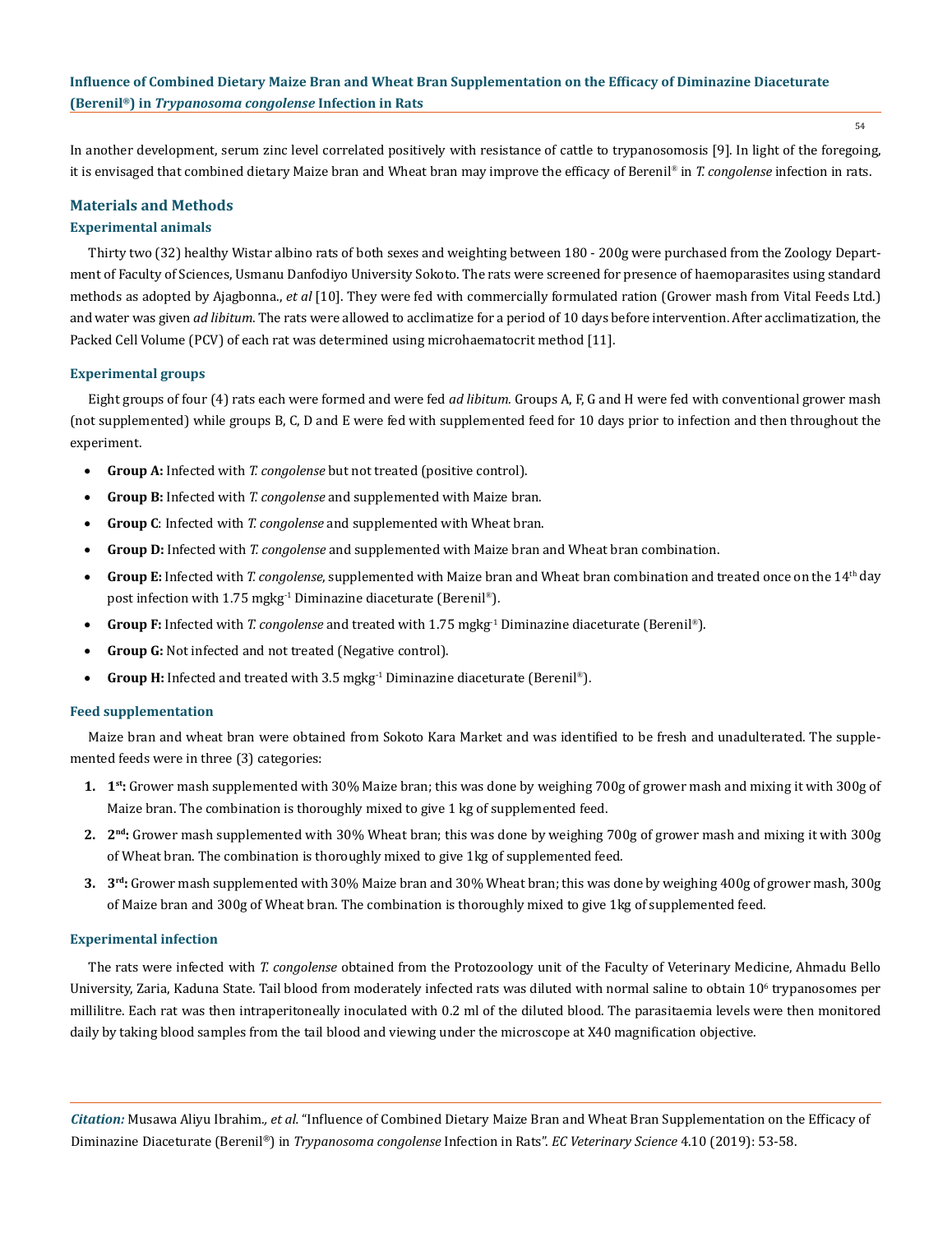In another development, serum zinc level correlated positively with resistance of cattle to trypanosomosis [9]. In light of the foregoing, it is envisaged that combined dietary Maize bran and Wheat bran may improve the efficacy of Berenil® in *T. congolense* infection in rats.

## **Materials and Methods**

## **Experimental animals**

Thirty two (32) healthy Wistar albino rats of both sexes and weighting between 180 - 200g were purchased from the Zoology Department of Faculty of Sciences, Usmanu Danfodiyo University Sokoto. The rats were screened for presence of haemoparasites using standard methods as adopted by Ajagbonna., *et al* [10]. They were fed with commercially formulated ration (Grower mash from Vital Feeds Ltd.) and water was given *ad libitum*. The rats were allowed to acclimatize for a period of 10 days before intervention. After acclimatization, the Packed Cell Volume (PCV) of each rat was determined using microhaematocrit method [11].

#### **Experimental groups**

Eight groups of four (4) rats each were formed and were fed *ad libitum.* Groups A, F, G and H were fed with conventional grower mash (not supplemented) while groups B, C, D and E were fed with supplemented feed for 10 days prior to infection and then throughout the experiment.

- **Group A:** Infected with *T. congolense* but not treated (positive control).
- **Group B:** Infected with *T. congolense* and supplemented with Maize bran.
- **Group C**: Infected with *T. congolense* and supplemented with Wheat bran.
- **Group D:** Infected with *T. congolense* and supplemented with Maize bran and Wheat bran combination.
- **Group E:** Infected with *T. congolense*, supplemented with Maize bran and Wheat bran combination and treated once on the 14<sup>th</sup> day post infection with 1.75 mgkg-1 Diminazine diaceturate (Berenil®).
- • **Group F:** Infected with *T. congolense* and treated with 1.75 mgkg-1 Diminazine diaceturate (Berenil®).
- • **Group G:** Not infected and not treated (Negative control).
- **Group H:** Infected and treated with 3.5 mgkg<sup>-1</sup> Diminazine diaceturate (Berenil®).

#### **Feed supplementation**

Maize bran and wheat bran were obtained from Sokoto Kara Market and was identified to be fresh and unadulterated. The supplemented feeds were in three (3) categories:

- **1. 1st:** Grower mash supplemented with 30% Maize bran; this was done by weighing 700g of grower mash and mixing it with 300g of Maize bran. The combination is thoroughly mixed to give 1 kg of supplemented feed.
- **2. 2nd:** Grower mash supplemented with 30% Wheat bran; this was done by weighing 700g of grower mash and mixing it with 300g of Wheat bran. The combination is thoroughly mixed to give 1kg of supplemented feed.
- **3. 3rd:** Grower mash supplemented with 30% Maize bran and 30% Wheat bran; this was done by weighing 400g of grower mash, 300g of Maize bran and 300g of Wheat bran. The combination is thoroughly mixed to give 1kg of supplemented feed.

#### **Experimental infection**

The rats were infected with *T. congolense* obtained from the Protozoology unit of the Faculty of Veterinary Medicine, Ahmadu Bello University, Zaria, Kaduna State. Tail blood from moderately infected rats was diluted with normal saline to obtain 10<sup>6</sup> trypanosomes per millilitre. Each rat was then intraperitoneally inoculated with 0.2 ml of the diluted blood. The parasitaemia levels were then monitored daily by taking blood samples from the tail blood and viewing under the microscope at X40 magnification objective.

*Citation:* Musawa Aliyu Ibrahim*., et al.* "Influence of Combined Dietary Maize Bran and Wheat Bran Supplementation on the Efficacy of Diminazine Diaceturate (Berenil®) in *Trypanosoma congolense* Infection in Rats". *EC Veterinary Science* 4.10 (2019): 53-58.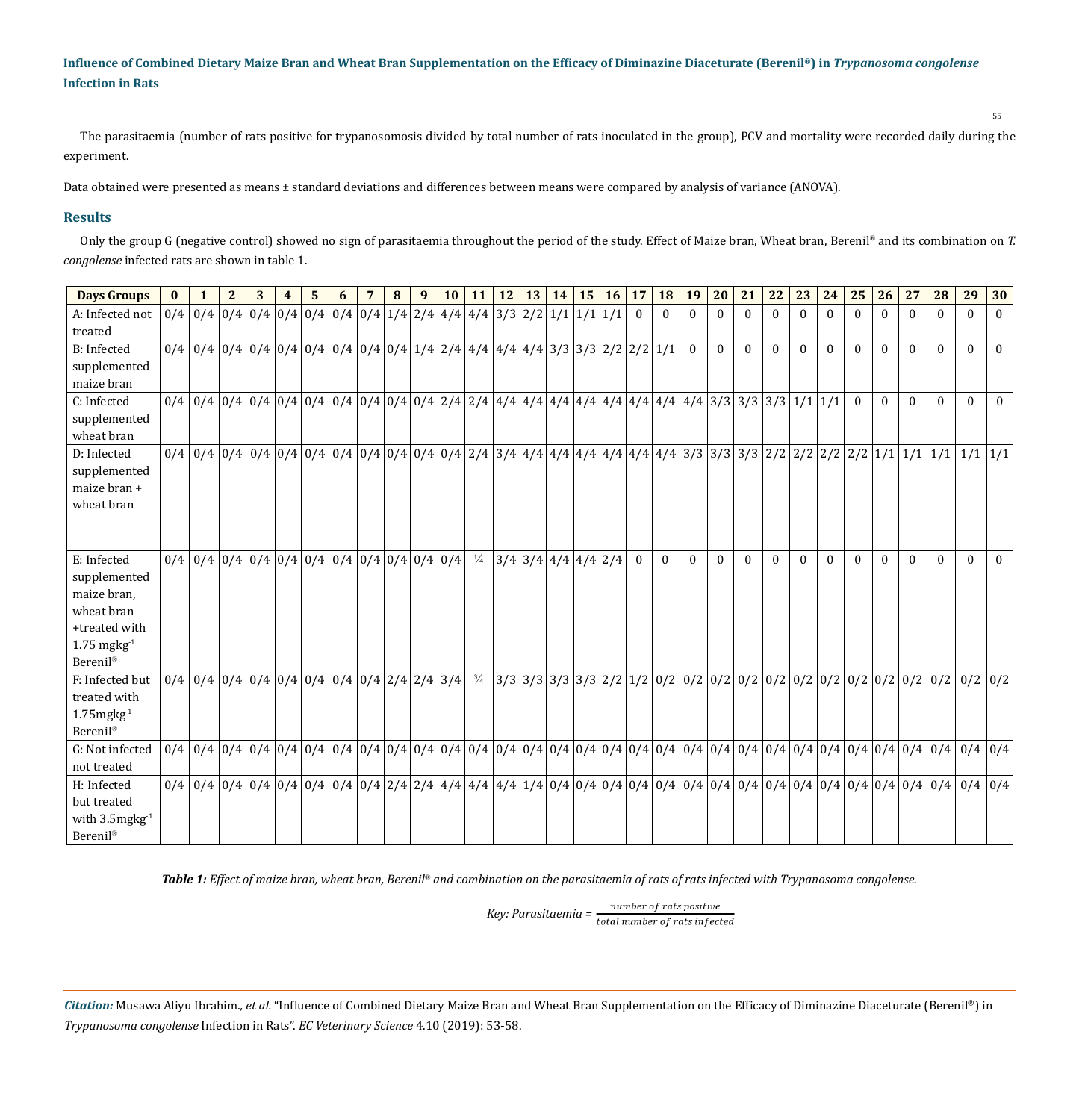The parasitaemia (number of rats positive for trypanosomosis divided by total number of rats inoculated in the group), PCV and mortality were recorded daily during the experiment.

Data obtained were presented as means ± standard deviations and differences between means were compared by analysis of variance (ANOVA).

## **Results**

Only the group G (negative control) showed no sign of parasitaemia throughout the period of the study. Effect of Maize bran, Wheat bran, Berenil® and its combination on *T. congolense* infected rats are shown in table 1.

| <b>Days Groups</b>                                                                                                        | $\mathbf{0}$ | 1                                                                                                                                                                                                                             | $\mathbf{2}$ | 3 | 4 | 5 | 6 | 7 | $\bf{8}$ | 9 | <b>10</b> | 11            | $12$ 13 14            | $15 \mid$ | 16 | 17       | <b>18</b> | 19       | 20       | 21       | 22       | 23       | 24       | 25           | 26       | 27       | 28       | 29                                                                                                                                                                                                                            | 30       |
|---------------------------------------------------------------------------------------------------------------------------|--------------|-------------------------------------------------------------------------------------------------------------------------------------------------------------------------------------------------------------------------------|--------------|---|---|---|---|---|----------|---|-----------|---------------|-----------------------|-----------|----|----------|-----------|----------|----------|----------|----------|----------|----------|--------------|----------|----------|----------|-------------------------------------------------------------------------------------------------------------------------------------------------------------------------------------------------------------------------------|----------|
| A: Infected not<br>treated                                                                                                |              | $0/4$   $0/4$   $0/4$   $0/4$   $0/4$   $0/4$   $0/4$   $0/4$   $1/4$   $2/4$   $4/4$   $4/4$   $3/3$   $2/2$   $1/1$   $1/1$   $1/1$                                                                                         |              |   |   |   |   |   |          |   |           |               |                       |           |    | $\Omega$ | $\Omega$  | $\Omega$ |          | $\Omega$ | $\Omega$ | $\Omega$ | $\Omega$ | 0            | $\Omega$ | $\Omega$ | $\Omega$ | 0                                                                                                                                                                                                                             |          |
| B: Infected<br>supplemented<br>maize bran                                                                                 |              | $0/4$   $0/4$   $0/4$   $0/4$   $0/4$   $0/4$   $0/4$   $0/4$   $0/4$   $1/4$   $2/4$   $4/4$   $4/4$   $4/4$   $3/3$   $3/3$   $2/2$   $2/2$   $1/1$                                                                         |              |   |   |   |   |   |          |   |           |               |                       |           |    |          |           | $\Omega$ | $\Omega$ | $\Omega$ | $\Omega$ | $\Omega$ | $\Omega$ | $\Omega$     | $\Omega$ | $\Omega$ | $\Omega$ | $\Omega$                                                                                                                                                                                                                      | $\Omega$ |
| C: Infected<br>supplemented<br>wheat bran                                                                                 |              |                                                                                                                                                                                                                               |              |   |   |   |   |   |          |   |           |               |                       |           |    |          |           |          |          |          |          |          |          | $\mathbf{0}$ | $\theta$ | $\Omega$ | $\Omega$ | $\theta$                                                                                                                                                                                                                      |          |
| D: Infected<br>supplemented<br>maize bran +<br>wheat bran                                                                 |              | $0/4$   $0/4$   $0/4$   $0/4$   $0/4$   $0/4$   $0/4$   $0/4$   $0/4$   $0/4$   $0/4$   $2/4$   $3/4$   $4/4$   $4/4$   $4/4$   $4/4$   $4/4$   $4/4$   $4/4$   $3/3$   $3/3$   $3/3$   $2/2$   $2/2$   $2/2$   $2/2$   $1/1$ |              |   |   |   |   |   |          |   |           |               |                       |           |    |          |           |          |          |          |          |          |          |              |          |          |          | $1/1$   $1/1$                                                                                                                                                                                                                 |          |
| E: Infected<br>supplemented<br>maize bran,<br>wheat bran<br>+treated with<br>$1.75$ mgkg <sup>-1</sup><br><b>Berenil®</b> |              | $0/4$   0/4   0/4   0/4   0/4   0/4   0/4   0/4   0/4   0/4   0/4   0/4   0/4                                                                                                                                                 |              |   |   |   |   |   |          |   |           | $\frac{1}{4}$ | $3/4$ 3/4 4/4 4/4 2/4 |           |    | $\theta$ | $\Omega$  | $\theta$ | $\Omega$ | $\Omega$ | $\Omega$ | $\Omega$ | $\Omega$ | $\theta$     | $\Omega$ | $\Omega$ | $\Omega$ | 0                                                                                                                                                                                                                             |          |
| F: Infected but<br>treated with<br>$1.75$ mgkg $^{-1}$<br>Berenil®                                                        |              | $0/4$   $0/4$   $0/4$   $0/4$   $0/4$   $0/4$   $0/4$   $0/4$   $2/4$   $2/4$   $3/4$                                                                                                                                         |              |   |   |   |   |   |          |   |           | $\frac{3}{4}$ |                       |           |    |          |           |          |          |          |          |          |          |              |          |          |          | $0/2$   $0/2$                                                                                                                                                                                                                 |          |
| G: Not infected<br>not treated                                                                                            |              |                                                                                                                                                                                                                               |              |   |   |   |   |   |          |   |           |               |                       |           |    |          |           |          |          |          |          |          |          |              |          |          |          | $0/4$   $0/4$   $0/4$   $0/4$   $0/4$   $0/4$   $0/4$   $0/4$   $0/4$   $0/4$   $0/4$   $0/4$   $0/4$   $0/4$   $0/4$   $0/4$   $0/4$   $0/4$   $0/4$   $0/4$   $0/4$   $0/4$   $0/4$   $0/4$   $0/4$   $0/4$   $0/4$   $0/4$ |          |
| H: Infected<br>but treated<br>with $3.5$ mgkg $^{-1}$<br><b>Berenil®</b>                                                  |              |                                                                                                                                                                                                                               |              |   |   |   |   |   |          |   |           |               |                       |           |    |          |           |          |          |          |          |          |          |              |          |          |          |                                                                                                                                                                                                                               |          |

*Table 1: Effect of maize bran, wheat bran, Berenil® and combination on the parasitaemia of rats of rats infected with Trypanosoma congolense.*

*Key: Parasitaemia =*  $\frac{num}{total number of rats infected}$ 

*Citation:* Musawa Aliyu Ibrahim*., et al.* "Influence of Combined Dietary Maize Bran and Wheat Bran Supplementation on the Efficacy of Diminazine Diaceturate (Berenil®) in *Trypanosoma congolense* Infection in Rats". *EC Veterinary Science* 4.10 (2019): 53-58.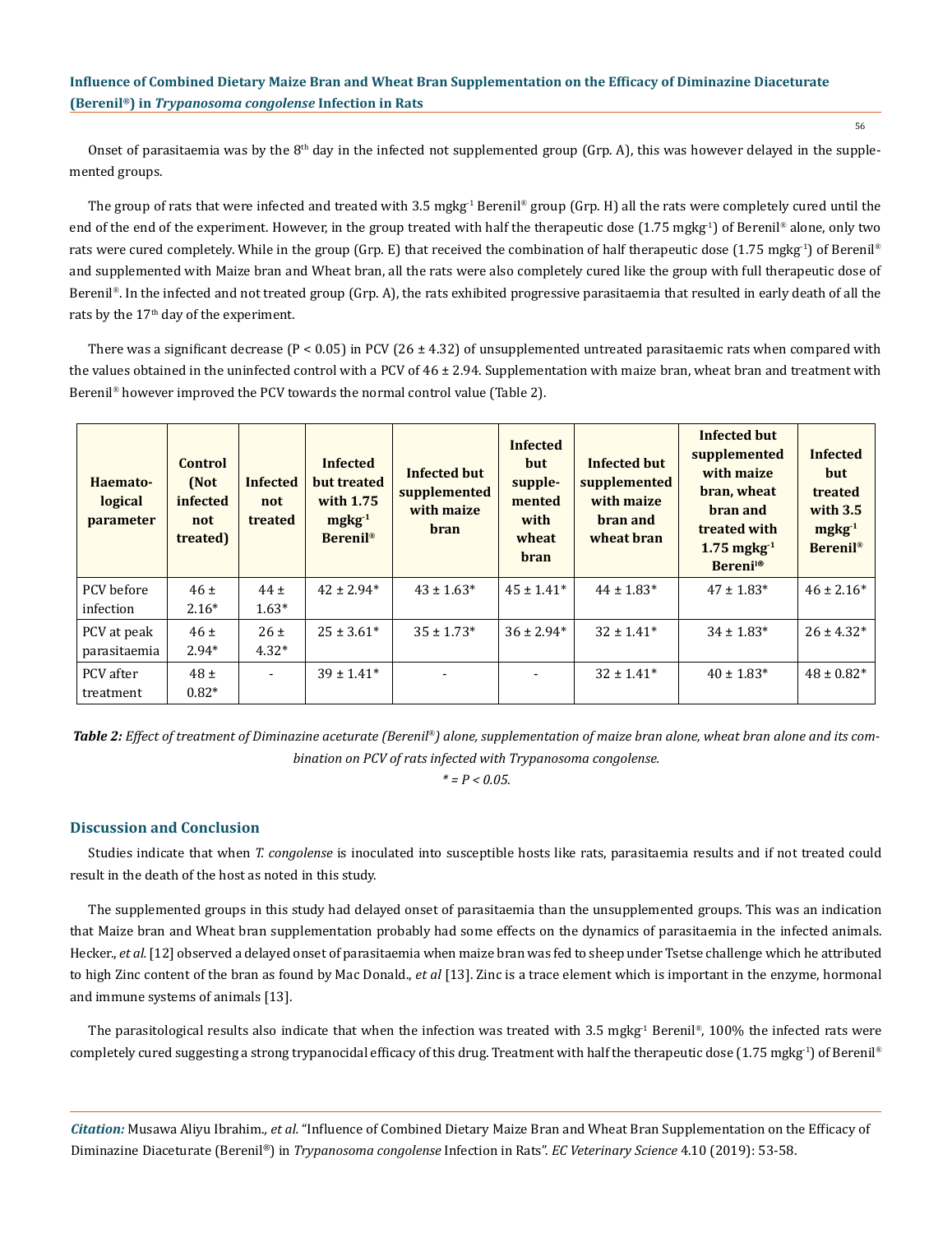Onset of parasitaemia was by the  $8<sup>th</sup>$  day in the infected not supplemented group (Grp. A), this was however delayed in the supplemented groups.

The group of rats that were infected and treated with 3.5 mgkg<sup>-1</sup> Berenil<sup>®</sup> group (Grp. H) all the rats were completely cured until the end of the end of the experiment. However, in the group treated with half the therapeutic dose (1.75 mgkg<sup>-1</sup>) of Berenil<sup>®</sup> alone, only two rats were cured completely. While in the group (Grp. E) that received the combination of half therapeutic dose (1.75 mgkg<sup>1</sup>) of Berenil<sup>®</sup> and supplemented with Maize bran and Wheat bran, all the rats were also completely cured like the group with full therapeutic dose of Berenil®. In the infected and not treated group (Grp. A), the rats exhibited progressive parasitaemia that resulted in early death of all the rats by the 17<sup>th</sup> day of the experiment.

There was a significant decrease  $(P < 0.05)$  in PCV  $(26 \pm 4.32)$  of unsupplemented untreated parasitaemic rats when compared with the values obtained in the uninfected control with a PCV of  $46 \pm 2.94$ . Supplementation with maize bran, wheat bran and treatment with Berenil® however improved the PCV towards the normal control value (Table 2).

| Haemato-<br>logical<br>parameter | <b>Control</b><br>(Not<br>infected<br>not<br>treated) | <b>Infected</b><br>not<br>treated | <b>Infected</b><br>but treated<br>with 1.75<br>$mgkg^{-1}$<br>Berenil <sup>®</sup> | <b>Infected but</b><br>supplemented<br>with maize<br><b>bran</b> | <b>Infected</b><br>but<br>supple-<br>mented<br>with<br>wheat<br><b>bran</b> | <b>Infected but</b><br>supplemented<br>with maize<br>bran and<br>wheat bran | Infected but<br>supplemented<br>with maize<br>bran, wheat<br>bran and<br>treated with<br>$1.75$ mgkg <sup>-1</sup><br><b>Bereni</b> l® | <b>Infected</b><br>but<br>treated<br>with $3.5$<br>$mgkg-1$<br><b>Berenil®</b> |
|----------------------------------|-------------------------------------------------------|-----------------------------------|------------------------------------------------------------------------------------|------------------------------------------------------------------|-----------------------------------------------------------------------------|-----------------------------------------------------------------------------|----------------------------------------------------------------------------------------------------------------------------------------|--------------------------------------------------------------------------------|
| PCV before<br>infection          | 46±<br>$2.16*$                                        | $44 \pm$<br>$1.63*$               | $42 \pm 2.94*$                                                                     | $43 \pm 1.63^*$                                                  | $45 \pm 1.41*$                                                              | $44 \pm 1.83*$                                                              | $47 \pm 1.83*$                                                                                                                         | $46 \pm 2.16*$                                                                 |
| PCV at peak<br>parasitaemia      | $46 \pm$<br>$2.94*$                                   | $26 \pm$<br>$4.32*$               | $25 \pm 3.61*$                                                                     | $35 \pm 1.73*$                                                   | $36 \pm 2.94*$                                                              | $32 \pm 1.41*$                                                              | $34 \pm 1.83*$                                                                                                                         | $26 \pm 4.32*$                                                                 |
| PCV after<br>treatment           | $48 \pm$<br>$0.82*$                                   | $\overline{\phantom{a}}$          | $39 \pm 1.41*$                                                                     |                                                                  |                                                                             | $32 \pm 1.41*$                                                              | $40 \pm 1.83*$                                                                                                                         | $48 \pm 0.82*$                                                                 |

*Table 2: Effect of treatment of Diminazine aceturate (Berenil®) alone, supplementation of maize bran alone, wheat bran alone and its combination on PCV of rats infected with Trypanosoma congolense.*

*\* = P < 0.05.*

## **Discussion and Conclusion**

Studies indicate that when *T. congolense* is inoculated into susceptible hosts like rats, parasitaemia results and if not treated could result in the death of the host as noted in this study.

The supplemented groups in this study had delayed onset of parasitaemia than the unsupplemented groups. This was an indication that Maize bran and Wheat bran supplementation probably had some effects on the dynamics of parasitaemia in the infected animals. Hecker., *et al.* [12] observed a delayed onset of parasitaemia when maize bran was fed to sheep under Tsetse challenge which he attributed to high Zinc content of the bran as found by Mac Donald., *et al* [13]. Zinc is a trace element which is important in the enzyme, hormonal and immune systems of animals [13].

The parasitological results also indicate that when the infection was treated with 3.5 mgkg<sup>-1</sup> Berenil<sup>®</sup>, 100% the infected rats were completely cured suggesting a strong trypanocidal efficacy of this drug. Treatment with half the therapeutic dose (1.75 mgkg<sup>1</sup>) of Berenil®

*Citation:* Musawa Aliyu Ibrahim*., et al.* "Influence of Combined Dietary Maize Bran and Wheat Bran Supplementation on the Efficacy of Diminazine Diaceturate (Berenil®) in *Trypanosoma congolense* Infection in Rats". *EC Veterinary Science* 4.10 (2019): 53-58.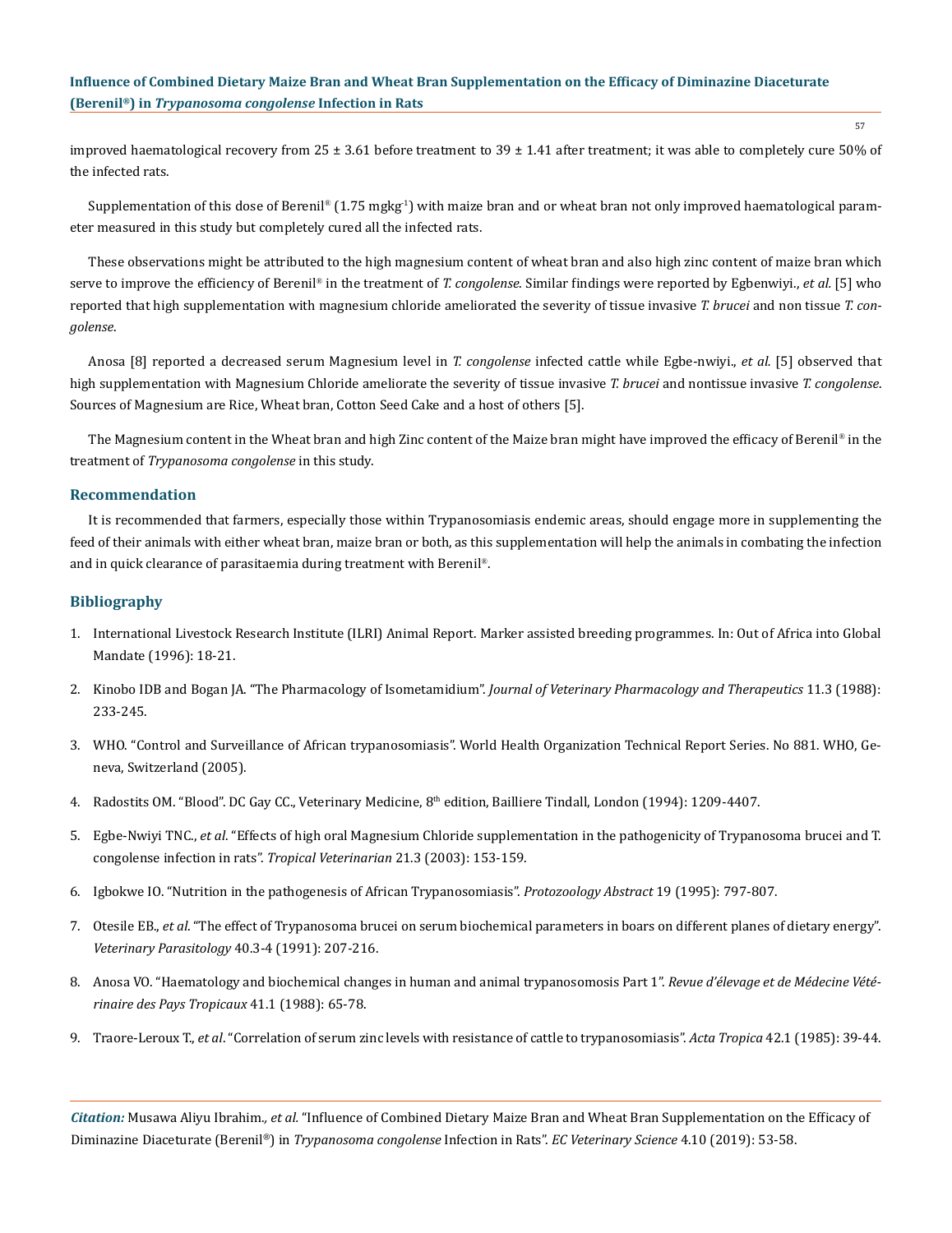improved haematological recovery from 25  $\pm$  3.61 before treatment to 39  $\pm$  1.41 after treatment; it was able to completely cure 50% of the infected rats.

Supplementation of this dose of Berenil®  $(1.75 \text{ mgkg}^{-1})$  with maize bran and or wheat bran not only improved haematological parameter measured in this study but completely cured all the infected rats.

These observations might be attributed to the high magnesium content of wheat bran and also high zinc content of maize bran which serve to improve the efficiency of Berenil® in the treatment of *T. congolense*. Similar findings were reported by Egbenwiyi., *et al.* [5] who reported that high supplementation with magnesium chloride ameliorated the severity of tissue invasive *T. brucei* and non tissue *T. congolense*.

Anosa [8] reported a decreased serum Magnesium level in *T. congolense* infected cattle while Egbe-nwiyi., *et al.* [5] observed that high supplementation with Magnesium Chloride ameliorate the severity of tissue invasive *T. brucei* and nontissue invasive *T. congolense*. Sources of Magnesium are Rice, Wheat bran, Cotton Seed Cake and a host of others [5].

The Magnesium content in the Wheat bran and high Zinc content of the Maize bran might have improved the efficacy of Berenil® in the treatment of *Trypanosoma congolense* in this study.

## **Recommendation**

It is recommended that farmers, especially those within Trypanosomiasis endemic areas, should engage more in supplementing the feed of their animals with either wheat bran, maize bran or both, as this supplementation will help the animals in combating the infection and in quick clearance of parasitaemia during treatment with Berenil®.

## **Bibliography**

- 1. International Livestock Research Institute (ILRI) Animal Report. Marker assisted breeding programmes. In: Out of Africa into Global Mandate (1996): 18-21.
- 2. [Kinobo IDB and Bogan JA. "The Pharmacology of Isometamidium".](https://www.ncbi.nlm.nih.gov/pubmed/3054150) *Journal of Veterinary Pharmacology and Therapeutics* 11.3 (1988): [233-245.](https://www.ncbi.nlm.nih.gov/pubmed/3054150)
- 3. [WHO. "Control and Surveillance of African trypanosomiasis". World Health Organization Technical Report Series. No 881. WHO, Ge](https://apps.who.int/iris/bitstream/handle/10665/42087/WHO_TRS_881.pdf?sequence=1)[neva, Switzerland \(2005\).](https://apps.who.int/iris/bitstream/handle/10665/42087/WHO_TRS_881.pdf?sequence=1)
- 4. Radostits OM. "Blood". DC Gay CC., Veterinary Medicine, 8<sup>th</sup> edition, Bailliere Tindall, London (1994): 1209-4407.
- 5. Egbe-Nwiyi TNC., *et al*[. "Effects of high oral Magnesium Chloride supplementation in the pathogenicity of Trypanosoma brucei and T.](https://www.ajol.info/index.php/tv/article/view/4537)  [congolense infection in rats".](https://www.ajol.info/index.php/tv/article/view/4537) *Tropical Veterinarian* 21.3 (2003): 153-159.
- 6. [Igbokwe IO. "Nutrition in the pathogenesis of African Trypanosomiasis".](http://agris.fao.org/agris-search/search.do?recordID=GB19960141948) *Protozoology Abstract* 19 (1995): 797-807.
- 7. Otesile EB., *et al*[. "The effect of Trypanosoma brucei on serum biochemical parameters in boars on different planes of dietary energy".](https://www.ncbi.nlm.nih.gov/pubmed/1788928) *[Veterinary Parasitology](https://www.ncbi.nlm.nih.gov/pubmed/1788928)* 40.3-4 (1991): 207-216.
- 8. [Anosa VO. "Haematology and biochemical changes in human and animal trypanosomosis Part 1".](https://www.ncbi.nlm.nih.gov/pubmed/3057543) *Revue d'élevage et de Médecine Vété[rinaire des Pays Tropicaux](https://www.ncbi.nlm.nih.gov/pubmed/3057543)* 41.1 (1988): 65-78.
- 9. Traore-Leroux T., *et al*[. "Correlation of serum zinc levels with resistance of cattle to trypanosomiasis".](https://www.ncbi.nlm.nih.gov/pubmed/2859748) *Acta Tropica* 42.1 (1985): 39-44.

*Citation:* Musawa Aliyu Ibrahim*., et al.* "Influence of Combined Dietary Maize Bran and Wheat Bran Supplementation on the Efficacy of Diminazine Diaceturate (Berenil®) in *Trypanosoma congolense* Infection in Rats". *EC Veterinary Science* 4.10 (2019): 53-58.